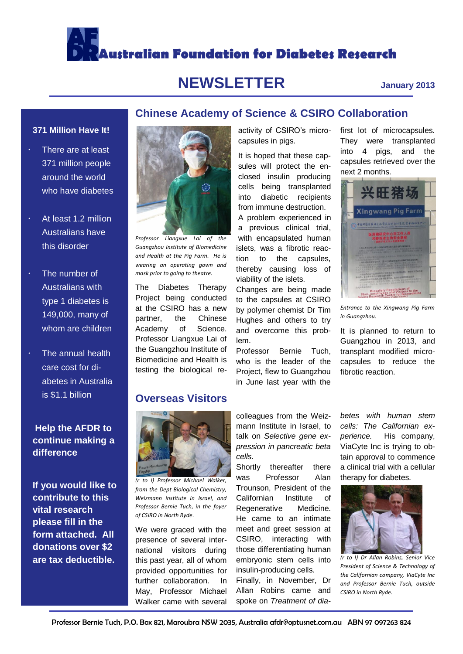# **Australian Foundation for Diabetes Research**

## **NEWSLETTER January 2013**

#### **371 Million Have It!**

- There are at least 371 million people around the world who have diabetes
- At least 1.2 million Australians have this disorder
- The number of Australians with type 1 diabetes is 149,000, many of whom are children
- The annual health care cost for diabetes in Australia is \$1.1 billion

#### **Help the AFDR to continue making a difference**

**If you would like to contribute to this vital research please fill in the form attached. All donations over \$2 are tax deductible.**



*Professor Liangxue Lai of the Guangzhou Institute of Biomedicine and Health at the Pig Farm. He is wearing an operating gown and mask prior to going to theatre.* 

The Diabetes Therapy Project being conducted at the CSIRO has a new partner, the Chinese Academy of Science. Professor Liangxue Lai of the Guangzhou Institute of Biomedicine and Health is testing the biological re-

### **Overseas Visitors**



*(r to l) Professor Michael Walker, from the Dept Biological Chemistry, Weizmann institute in Israel, and Professor Bernie Tuch, in the foyer of CSIRO in North Ryde.*

We were graced with the presence of several international visitors during this past year, all of whom provided opportunities for further collaboration. In May, Professor Michael Walker came with several activity of CSIRO's microcapsules in pigs.

**Chinese Academy of Science & CSIRO Collaboration**

It is hoped that these capsules will protect the enclosed insulin producing cells being transplanted into diabetic recipients from immune destruction.

A problem experienced in a previous clinical trial, with encapsulated human islets, was a fibrotic reaction to the capsules, thereby causing loss of viability of the islets.

Changes are being made to the capsules at CSIRO by polymer chemist Dr Tim Hughes and others to try and overcome this problem.

Professor Bernie Tuch, who is the leader of the Project, flew to Guangzhou in June last year with the

first lot of microcapsules. They were transplanted into 4 pigs, and the capsules retrieved over the next 2 months.



*Entrance to the Xingwang Pig Farm in Guangzhou.*

It is planned to return to Guangzhou in 2013, and transplant modified microcapsules to reduce the fibrotic reaction.

colleagues from the Weizmann Institute in Israel, to talk on *Selective gene expression in pancreatic beta cells.* 

Shortly thereafter there was Professor Alan Trounson, President of the Californian Institute of Regenerative Medicine. He came to an intimate meet and greet session at CSIRO, interacting with those differentiating human embryonic stem cells into insulin-producing cells.

Finally, in November, Dr Allan Robins came and spoke on *Treatment of dia-* *betes with human stem cells: The Californian experience.* His company, ViaCyte Inc is trying to obtain approval to commence a clinical trial with a cellular therapy for diabetes.



*(r to l) Dr Allan Robins, Senior Vice President of Science & Technology of the Californian company, ViaCyte Inc and Professor Bernie Tuch, outside CSIRO in North Ryde.*